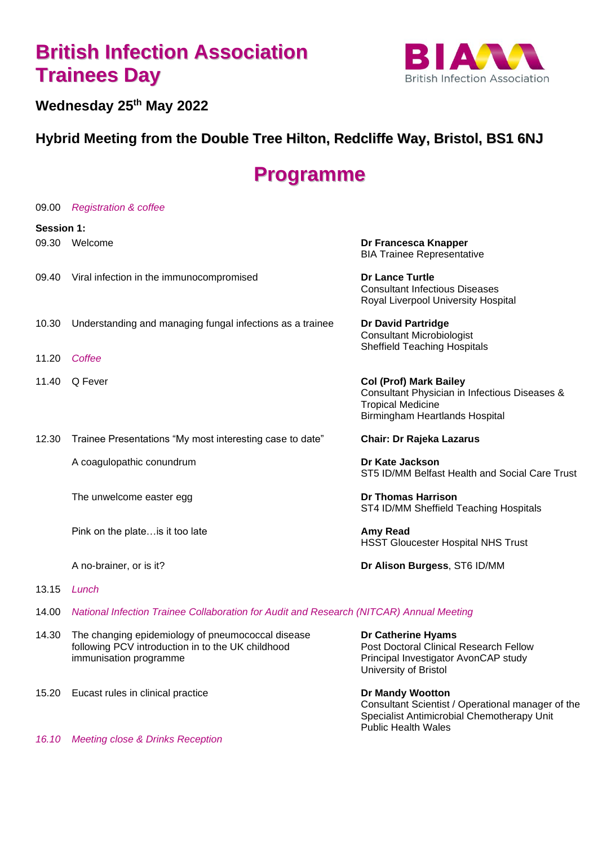# **British Infection Association Trainees Day**



#### **Wednesday 25th May 2022**

### **Hybrid Meeting from the Double Tree Hilton, Redcliffe Way, Bristol, BS1 6NJ**

## **Programme**

| 09.00             | <b>Registration &amp; coffee</b>                                                        |                                                                                                                                              |
|-------------------|-----------------------------------------------------------------------------------------|----------------------------------------------------------------------------------------------------------------------------------------------|
| <b>Session 1:</b> |                                                                                         |                                                                                                                                              |
| 09.30             | Welcome                                                                                 | Dr Francesca Knapper<br><b>BIA Trainee Representative</b>                                                                                    |
| 09.40             | Viral infection in the immunocompromised                                                | <b>Dr Lance Turtle</b><br><b>Consultant Infectious Diseases</b><br>Royal Liverpool University Hospital                                       |
| 10.30             | Understanding and managing fungal infections as a trainee                               | <b>Dr David Partridge</b><br><b>Consultant Microbiologist</b><br><b>Sheffield Teaching Hospitals</b>                                         |
| 11.20             | Coffee                                                                                  |                                                                                                                                              |
| 11.40             | Q Fever                                                                                 | <b>Col (Prof) Mark Bailey</b><br>Consultant Physician in Infectious Diseases &<br><b>Tropical Medicine</b><br>Birmingham Heartlands Hospital |
| 12.30             | Trainee Presentations "My most interesting case to date"                                | <b>Chair: Dr Rajeka Lazarus</b>                                                                                                              |
|                   | A coagulopathic conundrum                                                               | Dr Kate Jackson<br>ST5 ID/MM Belfast Health and Social Care Trust                                                                            |
|                   | The unwelcome easter egg                                                                | <b>Dr Thomas Harrison</b><br>ST4 ID/MM Sheffield Teaching Hospitals                                                                          |
|                   | Pink on the plate is it too late                                                        | Amy Read<br><b>HSST Gloucester Hospital NHS Trust</b>                                                                                        |
|                   | A no-brainer, or is it?                                                                 | Dr Alison Burgess, ST6 ID/MM                                                                                                                 |
| 13.15             | Lunch                                                                                   |                                                                                                                                              |
| 14.00             | National Infection Trainee Collaboration for Audit and Research (NITCAR) Annual Meeting |                                                                                                                                              |

- 14.30 The changing epidemiology of pneumococcal disease **Dr Catherine Hyams** following PCV introduction in to the UK childhood immunisation programme
- 15.20 Eucast rules in clinical practice **Dr Mandy Wootton**

Principal Investigator AvonCAP study University of Bristol

Consultant Scientist / Operational manager of the Specialist Antimicrobial Chemotherapy Unit Public Health Wales

*16.10 Meeting close & Drinks Reception*